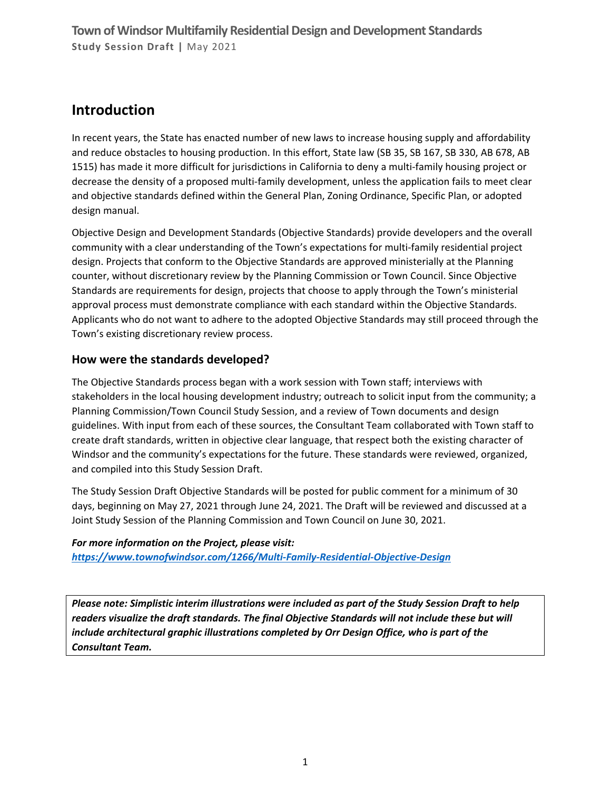## **Introduction**

In recent years, the State has enacted number of new laws to increase housing supply and affordability and reduce obstacles to housing production. In this effort, State law (SB 35, SB 167, SB 330, AB 678, AB 1515) has made it more difficult for jurisdictions in California to deny a multi-family housing project or decrease the density of a proposed multi-family development, unless the application fails to meet clear and objective standards defined within the General Plan, Zoning Ordinance, Specific Plan, or adopted design manual.

Objective Design and Development Standards (Objective Standards) provide developers and the overall community with a clear understanding of the Town's expectations for multi-family residential project design. Projects that conform to the Objective Standards are approved ministerially at the Planning counter, without discretionary review by the Planning Commission or Town Council. Since Objective Standards are requirements for design, projects that choose to apply through the Town's ministerial approval process must demonstrate compliance with each standard within the Objective Standards. Applicants who do not want to adhere to the adopted Objective Standards may still proceed through the Town's existing discretionary review process.

## **How were the standards developed?**

The Objective Standards process began with a work session with Town staff; interviews with stakeholders in the local housing development industry; outreach to solicit input from the community; a Planning Commission/Town Council Study Session, and a review of Town documents and design guidelines. With input from each of these sources, the Consultant Team collaborated with Town staff to create draft standards, written in objective clear language, that respect both the existing character of Windsor and the community's expectations for the future. These standards were reviewed, organized, and compiled into this Study Session Draft.

The Study Session Draft Objective Standards will be posted for public comment for a minimum of 30 days, beginning on May 27, 2021 through June 24, 2021. The Draft will be reviewed and discussed at a Joint Study Session of the Planning Commission and Town Council on June 30, 2021.

#### *For more information on the Project, please visit:*

*<https://www.townofwindsor.com/1266/Multi-Family-Residential-Objective-Design>*

*Please note: Simplistic interim illustrations were included as part of the Study Session Draft to help readers visualize the draft standards. The final Objective Standards will not include these but will include architectural graphic illustrations completed by Orr Design Office, who is part of the Consultant Team.*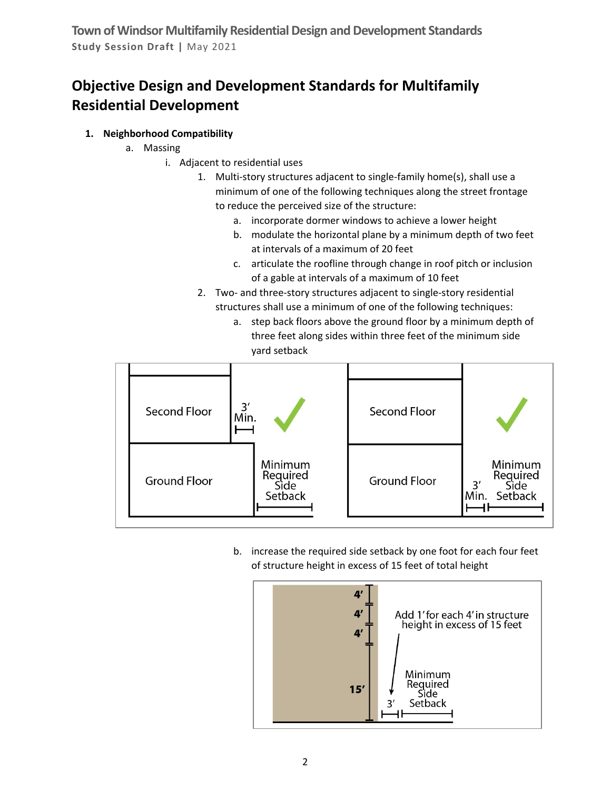# **Objective Design and Development Standards for Multifamily Residential Development**

#### **1. Neighborhood Compatibility**

- a. Massing
	- i. Adjacent to residential uses
		- 1. Multi-story structures adjacent to single-family home(s), shall use a minimum of one of the following techniques along the street frontage to reduce the perceived size of the structure:
			- a. incorporate dormer windows to achieve a lower height
			- b. modulate the horizontal plane by a minimum depth of two feet at intervals of a maximum of 20 feet
			- c. articulate the roofline through change in roof pitch or inclusion of a gable at intervals of a maximum of 10 feet
		- 2. Two- and three-story structures adjacent to single-story residential structures shall use a minimum of one of the following techniques:
			- a. step back floors above the ground floor by a minimum depth of three feet along sides within three feet of the minimum side yard setback



b. increase the required side setback by one foot for each four feet of structure height in excess of 15 feet of total height

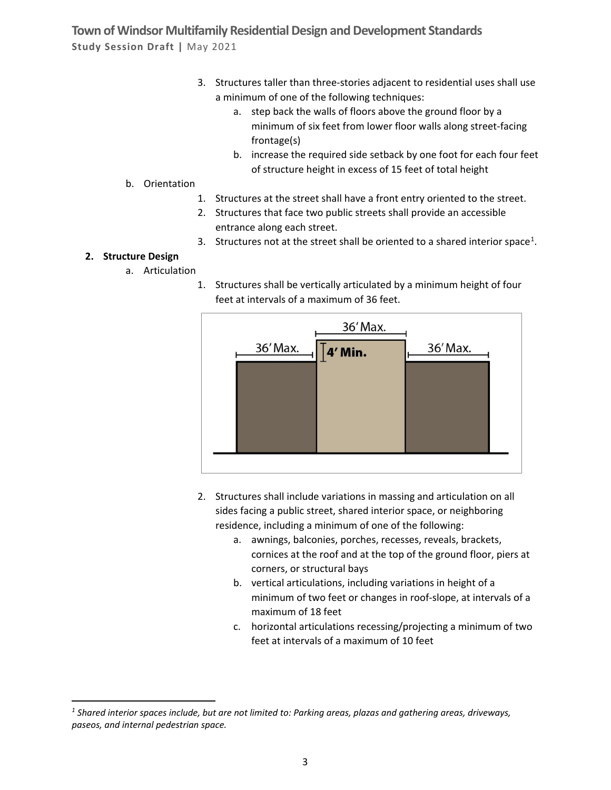- 3. Structures taller than three-stories adjacent to residential uses shall use a minimum of one of the following techniques:
	- a. step back the walls of floors above the ground floor by a minimum of six feet from lower floor walls along street-facing frontage(s)
	- b. increase the required side setback by one foot for each four feet of structure height in excess of 15 feet of total height
- b. Orientation
	- 1. Structures at the street shall have a front entry oriented to the street.
	- 2. Structures that face two public streets shall provide an accessible entrance along each street.
	- 3. Structures not at the street shall be oriented to a shared interior space<sup>[1](#page-2-0)</sup>.

#### **2. Structure Design**

- a. Articulation
	- 1. Structures shall be vertically articulated by a minimum height of four feet at intervals of a maximum of 36 feet.



- 2. Structures shall include variations in massing and articulation on all sides facing a public street, shared interior space, or neighboring residence, including a minimum of one of the following:
	- a. awnings, balconies, porches, recesses, reveals, brackets, cornices at the roof and at the top of the ground floor, piers at corners, or structural bays
	- b. vertical articulations, including variations in height of a minimum of two feet or changes in roof-slope, at intervals of a maximum of 18 feet
	- c. horizontal articulations recessing/projecting a minimum of two feet at intervals of a maximum of 10 feet

<span id="page-2-0"></span>*<sup>1</sup> Shared interior spaces include, but are not limited to: Parking areas, plazas and gathering areas, driveways, paseos, and internal pedestrian space.*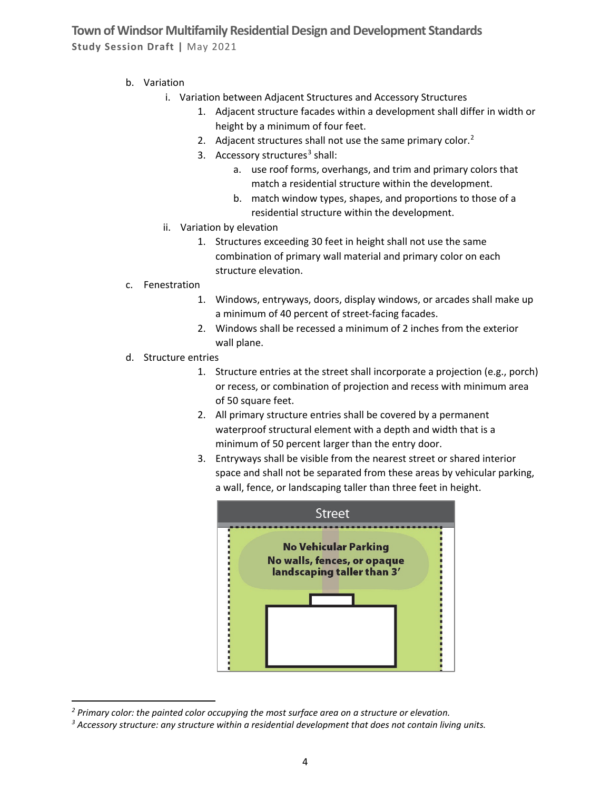- b. Variation
	- i. Variation between Adjacent Structures and Accessory Structures
		- 1. Adjacent structure facades within a development shall differ in width or height by a minimum of four feet.
		- [2](#page-3-0). Adjacent structures shall not use the same primary color. $<sup>2</sup>$ </sup>
		- [3](#page-3-1). Accessory structures<sup>3</sup> shall:
			- a. use roof forms, overhangs, and trim and primary colors that match a residential structure within the development.
			- b. match window types, shapes, and proportions to those of a residential structure within the development.
	- ii. Variation by elevation
		- 1. Structures exceeding 30 feet in height shall not use the same combination of primary wall material and primary color on each structure elevation.
- c. Fenestration
	- 1. Windows, entryways, doors, display windows, or arcades shall make up a minimum of 40 percent of street-facing facades.
	- 2. Windows shall be recessed a minimum of 2 inches from the exterior wall plane.
- d. Structure entries
	- 1. Structure entries at the street shall incorporate a projection (e.g., porch) or recess, or combination of projection and recess with minimum area of 50 square feet.
	- 2. All primary structure entries shall be covered by a permanent waterproof structural element with a depth and width that is a minimum of 50 percent larger than the entry door.
	- 3. Entryways shall be visible from the nearest street or shared interior space and shall not be separated from these areas by vehicular parking, a wall, fence, or landscaping taller than three feet in height.



<span id="page-3-0"></span>*<sup>2</sup> Primary color: the painted color occupying the most surface area on a structure or elevation.*

<span id="page-3-1"></span>*<sup>3</sup> Accessory structure: any structure within a residential development that does not contain living units.*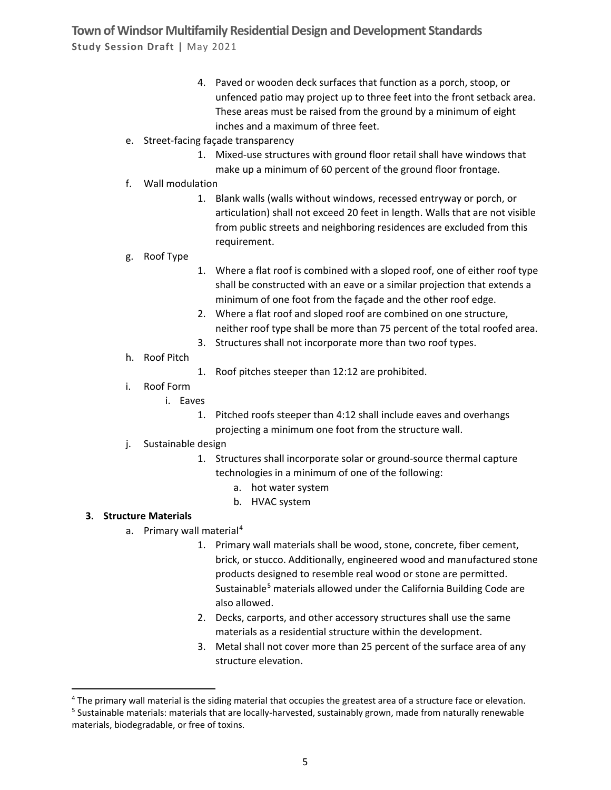- 4. Paved or wooden deck surfaces that function as a porch, stoop, or unfenced patio may project up to three feet into the front setback area. These areas must be raised from the ground by a minimum of eight inches and a maximum of three feet.
- e. Street-facing façade transparency
	- 1. Mixed-use structures with ground floor retail shall have windows that make up a minimum of 60 percent of the ground floor frontage.
- f. Wall modulation
	- 1. Blank walls (walls without windows, recessed entryway or porch, or articulation) shall not exceed 20 feet in length. Walls that are not visible from public streets and neighboring residences are excluded from this requirement.
- g. Roof Type
- 1. Where a flat roof is combined with a sloped roof, one of either roof type shall be constructed with an eave or a similar projection that extends a minimum of one foot from the façade and the other roof edge.
- 2. Where a flat roof and sloped roof are combined on one structure, neither roof type shall be more than 75 percent of the total roofed area.
- 3. Structures shall not incorporate more than two roof types.
- h. Roof Pitch
- 1. Roof pitches steeper than 12:12 are prohibited.
- i. Roof Form
	- i. Eaves
		- 1. Pitched roofs steeper than 4:12 shall include eaves and overhangs projecting a minimum one foot from the structure wall.
- j. Sustainable design
	- 1. Structures shall incorporate solar or ground-source thermal capture technologies in a minimum of one of the following:
		- a. hot water system
		- b. HVAC system

#### **3. Structure Materials**

- a. Primary wall material<sup>[4](#page-4-0)</sup>
	- 1. Primary wall materials shall be wood, stone, concrete, fiber cement, brick, or stucco. Additionally, engineered wood and manufactured stone products designed to resemble real wood or stone are permitted. Sustainable<sup>[5](#page-4-1)</sup> materials allowed under the California Building Code are also allowed.
	- 2. Decks, carports, and other accessory structures shall use the same materials as a residential structure within the development.
	- 3. Metal shall not cover more than 25 percent of the surface area of any structure elevation.

<span id="page-4-0"></span><sup>&</sup>lt;sup>4</sup> The primary wall material is the siding material that occupies the greatest area of a structure face or elevation.

<span id="page-4-1"></span><sup>&</sup>lt;sup>5</sup> Sustainable materials: materials that are locally-harvested, sustainably grown, made from naturally renewable materials, biodegradable, or free of toxins.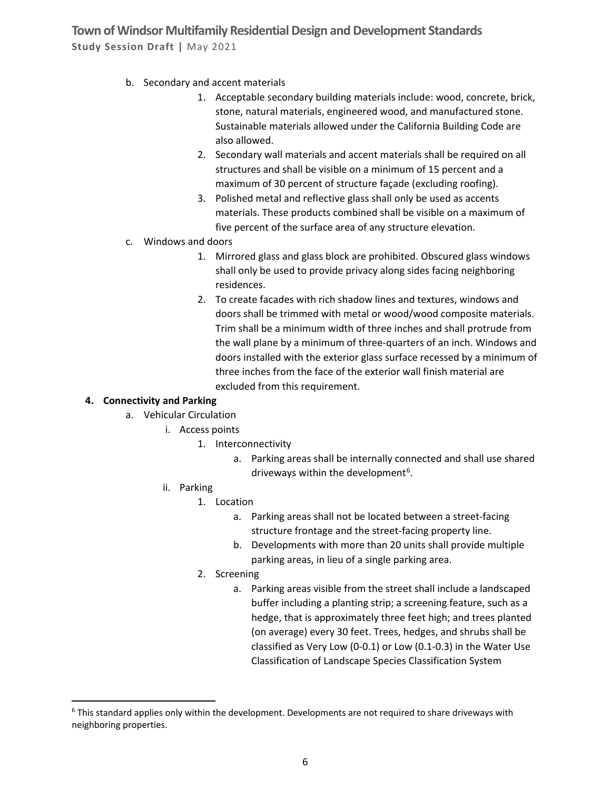- b. Secondary and accent materials
	- 1. Acceptable secondary building materials include: wood, concrete, brick, stone, natural materials, engineered wood, and manufactured stone. Sustainable materials allowed under the California Building Code are also allowed.
	- 2. Secondary wall materials and accent materials shall be required on all structures and shall be visible on a minimum of 15 percent and a maximum of 30 percent of structure façade (excluding roofing).
	- 3. Polished metal and reflective glass shall only be used as accents materials. These products combined shall be visible on a maximum of five percent of the surface area of any structure elevation.
- c. Windows and doors
	- 1. Mirrored glass and glass block are prohibited. Obscured glass windows shall only be used to provide privacy along sides facing neighboring residences.
	- 2. To create facades with rich shadow lines and textures, windows and doors shall be trimmed with metal or wood/wood composite materials. Trim shall be a minimum width of three inches and shall protrude from the wall plane by a minimum of three-quarters of an inch. Windows and doors installed with the exterior glass surface recessed by a minimum of three inches from the face of the exterior wall finish material are excluded from this requirement.

#### **4. Connectivity and Parking**

- a. Vehicular Circulation
	- i. Access points
		- 1. Interconnectivity
			- a. Parking areas shall be internally connected and shall use shared driveways within the development<sup>[6](#page-5-0)</sup>.
	- ii. Parking
		- 1. Location
			- a. Parking areas shall not be located between a street-facing structure frontage and the street-facing property line.
			- b. Developments with more than 20 units shall provide multiple parking areas, in lieu of a single parking area.
		- 2. Screening
			- a. Parking areas visible from the street shall include a landscaped buffer including a planting strip; a screening feature, such as a hedge, that is approximately three feet high; and trees planted (on average) every 30 feet. Trees, hedges, and shrubs shall be classified as Very Low (0-0.1) or Low (0.1-0.3) in the Water Use Classification of Landscape Species Classification System

<span id="page-5-0"></span> $6$  This standard applies only within the development. Developments are not required to share driveways with neighboring properties.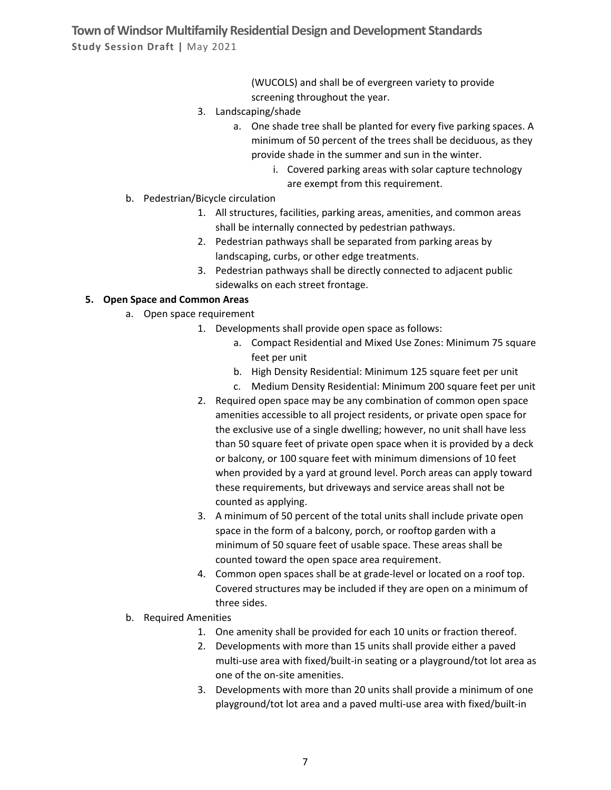> (WUCOLS) and shall be of evergreen variety to provide screening throughout the year.

- 3. Landscaping/shade
	- a. One shade tree shall be planted for every five parking spaces. A minimum of 50 percent of the trees shall be deciduous, as they provide shade in the summer and sun in the winter.
		- i. Covered parking areas with solar capture technology are exempt from this requirement.
- b. Pedestrian/Bicycle circulation
	- 1. All structures, facilities, parking areas, amenities, and common areas shall be internally connected by pedestrian pathways.
	- 2. Pedestrian pathways shall be separated from parking areas by landscaping, curbs, or other edge treatments.
	- 3. Pedestrian pathways shall be directly connected to adjacent public sidewalks on each street frontage.

#### **5. Open Space and Common Areas**

- a. Open space requirement
	- 1. Developments shall provide open space as follows:
		- a. Compact Residential and Mixed Use Zones: Minimum 75 square feet per unit
		- b. High Density Residential: Minimum 125 square feet per unit
		- c. Medium Density Residential: Minimum 200 square feet per unit
	- 2. Required open space may be any combination of common open space amenities accessible to all project residents, or private open space for the exclusive use of a single dwelling; however, no unit shall have less than 50 square feet of private open space when it is provided by a deck or balcony, or 100 square feet with minimum dimensions of 10 feet when provided by a yard at ground level. Porch areas can apply toward these requirements, but driveways and service areas shall not be counted as applying.
	- 3. A minimum of 50 percent of the total units shall include private open space in the form of a balcony, porch, or rooftop garden with a minimum of 50 square feet of usable space. These areas shall be counted toward the open space area requirement.
	- 4. Common open spaces shall be at grade-level or located on a roof top. Covered structures may be included if they are open on a minimum of three sides.
- b. Required Amenities
	- 1. One amenity shall be provided for each 10 units or fraction thereof.
	- 2. Developments with more than 15 units shall provide either a paved multi-use area with fixed/built-in seating or a playground/tot lot area as one of the on-site amenities.
	- 3. Developments with more than 20 units shall provide a minimum of one playground/tot lot area and a paved multi-use area with fixed/built-in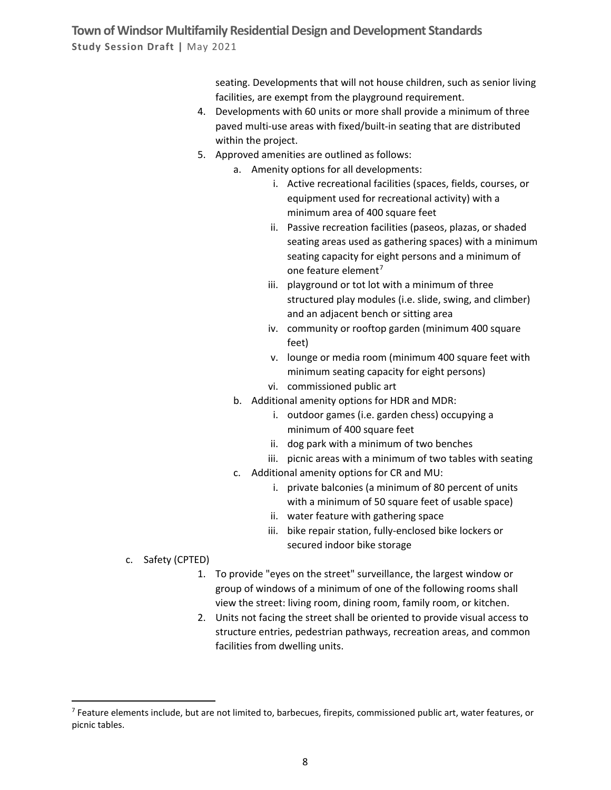seating. Developments that will not house children, such as senior living facilities, are exempt from the playground requirement.

- 4. Developments with 60 units or more shall provide a minimum of three paved multi-use areas with fixed/built-in seating that are distributed within the project.
- 5. Approved amenities are outlined as follows:
	- a. Amenity options for all developments:
		- i. Active recreational facilities (spaces, fields, courses, or equipment used for recreational activity) with a minimum area of 400 square feet
		- ii. Passive recreation facilities (paseos, plazas, or shaded seating areas used as gathering spaces) with a minimum seating capacity for eight persons and a minimum of one feature element<sup>[7](#page-7-0)</sup>
		- iii. playground or tot lot with a minimum of three structured play modules (i.e. slide, swing, and climber) and an adjacent bench or sitting area
		- iv. community or rooftop garden (minimum 400 square feet)
		- v. lounge or media room (minimum 400 square feet with minimum seating capacity for eight persons)
		- vi. commissioned public art
	- b. Additional amenity options for HDR and MDR:
		- i. outdoor games (i.e. garden chess) occupying a minimum of 400 square feet
		- ii. dog park with a minimum of two benches
		- iii. picnic areas with a minimum of two tables with seating
	- c. Additional amenity options for CR and MU:
		- i. private balconies (a minimum of 80 percent of units with a minimum of 50 square feet of usable space)
		- ii. water feature with gathering space
		- iii. bike repair station, fully-enclosed bike lockers or secured indoor bike storage
- c. Safety (CPTED)
	- 1. To provide "eyes on the street" surveillance, the largest window or group of windows of a minimum of one of the following rooms shall view the street: living room, dining room, family room, or kitchen.
	- 2. Units not facing the street shall be oriented to provide visual access to structure entries, pedestrian pathways, recreation areas, and common facilities from dwelling units.

<span id="page-7-0"></span> $^7$  Feature elements include, but are not limited to, barbecues, firepits, commissioned public art, water features, or picnic tables.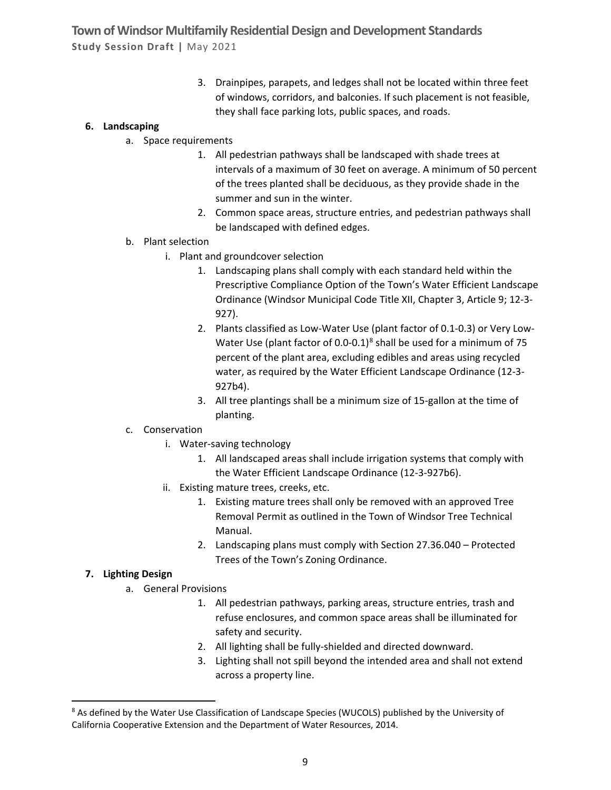> 3. Drainpipes, parapets, and ledges shall not be located within three feet of windows, corridors, and balconies. If such placement is not feasible, they shall face parking lots, public spaces, and roads.

#### **6. Landscaping**

- a. Space requirements
	- 1. All pedestrian pathways shall be landscaped with shade trees at intervals of a maximum of 30 feet on average. A minimum of 50 percent of the trees planted shall be deciduous, as they provide shade in the summer and sun in the winter.
	- 2. Common space areas, structure entries, and pedestrian pathways shall be landscaped with defined edges.
- b. Plant selection
	- i. Plant and groundcover selection
		- 1. Landscaping plans shall comply with each standard held within the Prescriptive Compliance Option of the Town's Water Efficient Landscape Ordinance (Windsor Municipal Code Title XII, Chapter 3, Article 9; 12-3- 927).
		- 2. Plants classified as Low-Water Use (plant factor of 0.1-0.3) or Very Low-Water Use (plant factor of 0.0-0.1)<sup>8</sup> shall be used for a minimum of 75 percent of the plant area, excluding edibles and areas using recycled water, as required by the Water Efficient Landscape Ordinance (12-3- 927b4).
		- 3. All tree plantings shall be a minimum size of 15-gallon at the time of planting.
- c. Conservation
	- i. Water-saving technology
		- 1. All landscaped areas shall include irrigation systems that comply with the Water Efficient Landscape Ordinance (12-3-927b6).
	- ii. Existing mature trees, creeks, etc.
		- 1. Existing mature trees shall only be removed with an approved Tree Removal Permit as outlined in the Town of Windsor Tree Technical Manual.
		- 2. Landscaping plans must comply with Section 27.36.040 Protected Trees of the Town's Zoning Ordinance.

#### **7. Lighting Design**

- a. General Provisions
	- 1. All pedestrian pathways, parking areas, structure entries, trash and refuse enclosures, and common space areas shall be illuminated for safety and security.
	- 2. All lighting shall be fully-shielded and directed downward.
	- 3. Lighting shall not spill beyond the intended area and shall not extend across a property line.

<span id="page-8-0"></span><sup>&</sup>lt;sup>8</sup> As defined by the Water Use Classification of Landscape Species (WUCOLS) published by the University of California Cooperative Extension and the Department of Water Resources, 2014.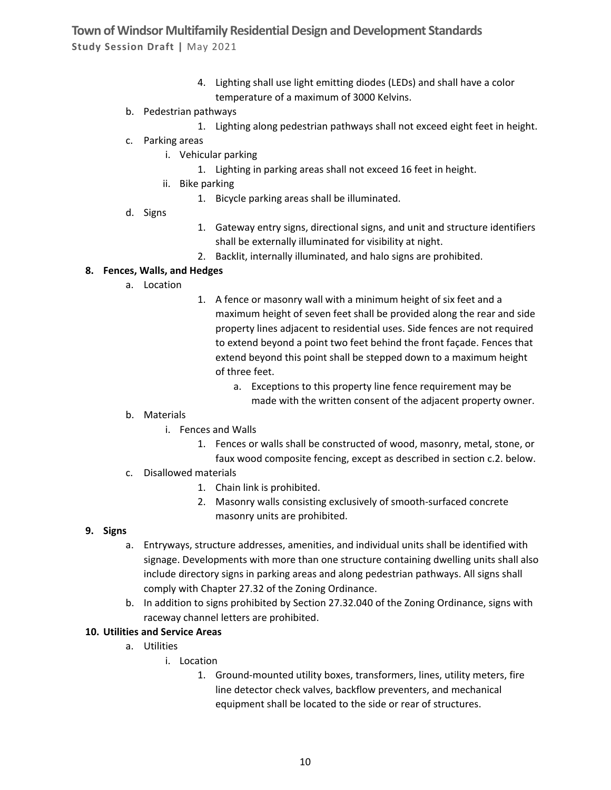- 4. Lighting shall use light emitting diodes (LEDs) and shall have a color temperature of a maximum of 3000 Kelvins.
- b. Pedestrian pathways
	- 1. Lighting along pedestrian pathways shall not exceed eight feet in height.
- c. Parking areas
	- i. Vehicular parking
		- 1. Lighting in parking areas shall not exceed 16 feet in height.
	- ii. Bike parking
		- 1. Bicycle parking areas shall be illuminated.
- d. Signs
- 1. Gateway entry signs, directional signs, and unit and structure identifiers shall be externally illuminated for visibility at night.
- 2. Backlit, internally illuminated, and halo signs are prohibited.

#### **8. Fences, Walls, and Hedges**

- a. Location
- 1. A fence or masonry wall with a minimum height of six feet and a maximum height of seven feet shall be provided along the rear and side property lines adjacent to residential uses. Side fences are not required to extend beyond a point two feet behind the front façade. Fences that extend beyond this point shall be stepped down to a maximum height of three feet.
	- a. Exceptions to this property line fence requirement may be made with the written consent of the adjacent property owner.
- b. Materials
	- i. Fences and Walls
		- 1. Fences or walls shall be constructed of wood, masonry, metal, stone, or faux wood composite fencing, except as described in section c.2. below.
- c. Disallowed materials
	- 1. Chain link is prohibited.
	- 2. Masonry walls consisting exclusively of smooth-surfaced concrete masonry units are prohibited.

#### **9. Signs**

- a. Entryways, structure addresses, amenities, and individual units shall be identified with signage. Developments with more than one structure containing dwelling units shall also include directory signs in parking areas and along pedestrian pathways. All signs shall comply with Chapter 27.32 of the Zoning Ordinance.
- b. In addition to signs prohibited by Section 27.32.040 of the Zoning Ordinance, signs with raceway channel letters are prohibited.

#### **10. Utilities and Service Areas**

- a. Utilities
	- i. Location
		- 1. Ground-mounted utility boxes, transformers, lines, utility meters, fire line detector check valves, backflow preventers, and mechanical equipment shall be located to the side or rear of structures.